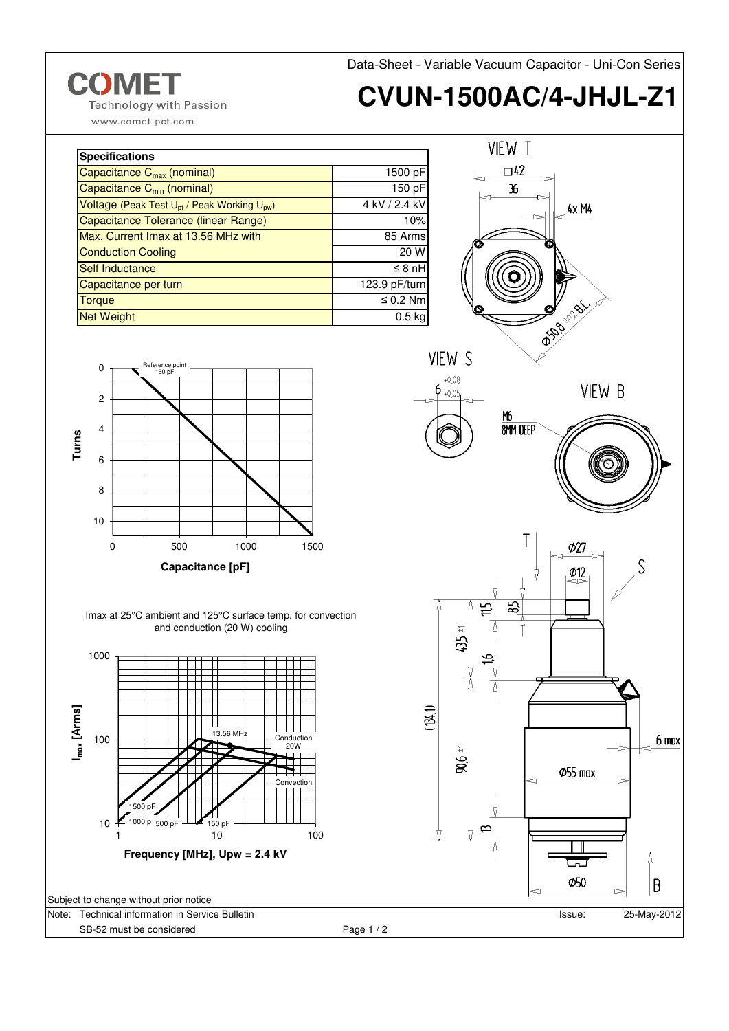

www.comet-pct.com

**CVUN-1500AC/4-JHJL-Z1**

| <b>Specifications</b>                                               |                     |
|---------------------------------------------------------------------|---------------------|
| Capacitance C <sub>max</sub> (nominal)                              | 1500 pF             |
| Capacitance C <sub>min</sub> (nominal)                              | 150 pF              |
| Voltage (Peak Test U <sub>pt</sub> / Peak Working U <sub>pw</sub> ) | 4 kV / 2.4 kV       |
| <b>Capacitance Tolerance (linear Range)</b>                         | 10%                 |
| Max. Current Imax at 13.56 MHz with                                 | 85 Arms             |
| <b>Conduction Cooling</b>                                           | 20 W                |
| Self Inductance                                                     | $\leq 8 \text{ nH}$ |
| Capacitance per turn                                                | 123.9 pF/turn       |
| <b>Torque</b>                                                       | $\leq 0.2$ Nm       |
| <b>Net Weight</b>                                                   | $0.5$ kg            |



 $\mathbf 0$ 

Issue: 25-May-2012

حما Ø50 ∆

B



Imax at 25°C ambient and 125°C surface temp. for convection and conduction (20 W) cooling